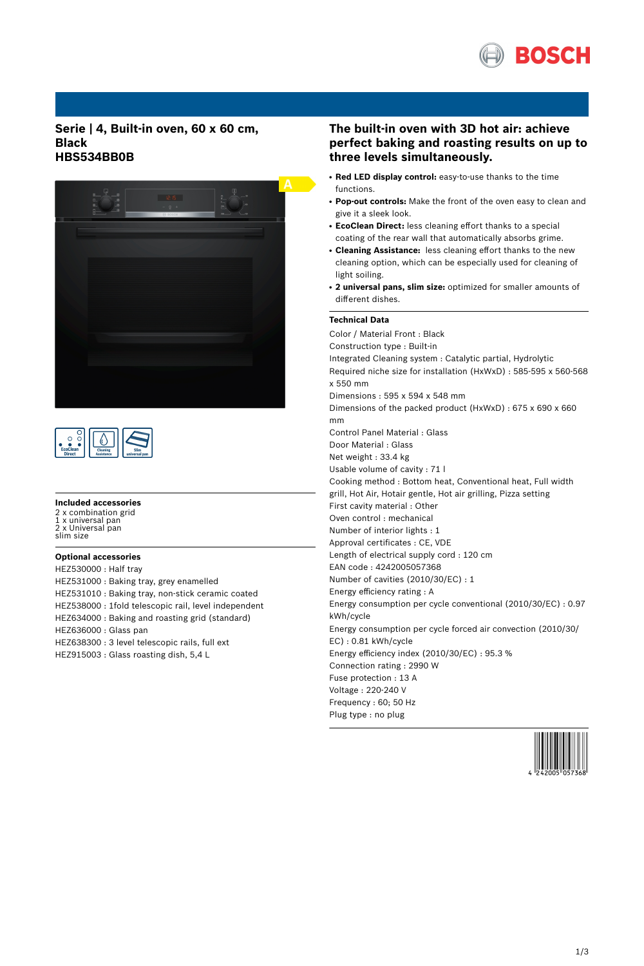

**Serie | 4, Built-in oven, 60 x 60 cm, Black HBS534BB0B**





#### **Included accessories**

2 x combination grid 1 x universal pan 2 x Universal pan slim size

## **Optional accessories**

HEZ530000 : Half tray HEZ531000 : Baking tray, grey enamelled HEZ531010 : Baking tray, non-stick ceramic coated HEZ538000 : 1fold telescopic rail, level independent HEZ634000 : Baking and roasting grid (standard) HEZ636000 : Glass pan HEZ638300 : 3 level telescopic rails, full ext HEZ915003 : Glass roasting dish, 5,4 L

# **The built-in oven with 3D hot air: achieve perfect baking and roasting results on up to three levels simultaneously.**

- **Red LED display control:** easy-to-use thanks to the time functions.
- Pop-out controls: Make the front of the oven easy to clean and give it a sleek look.
- **EcoClean Direct:** less cleaning effort thanks to a special coating of the rear wall that automatically absorbs grime.
- **Cleaning Assistance:** less cleaning effort thanks to the new cleaning option, which can be especially used for cleaning of light soiling.
- **2 universal pans, slim size:** optimized for smaller amounts of different dishes.

#### **Technical Data**

Color / Material Front : Black Construction type : Built-in Integrated Cleaning system : Catalytic partial, Hydrolytic Required niche size for installation (HxWxD) : 585-595 x 560-568 x 550 mm Dimensions : 595 x 594 x 548 mm Dimensions of the packed product (HxWxD) : 675 x 690 x 660 mm Control Panel Material : Glass Door Material : Glass Net weight : 33.4 kg Usable volume of cavity : 71 l Cooking method : Bottom heat, Conventional heat, Full width grill, Hot Air, Hotair gentle, Hot air grilling, Pizza setting First cavity material : Other Oven control : mechanical Number of interior lights : 1 Approval certificates : CE, VDE Length of electrical supply cord : 120 cm EAN code : 4242005057368 Number of cavities (2010/30/EC) : 1 Energy efficiency rating : A Energy consumption per cycle conventional (2010/30/EC) : 0.97 kWh/cycle Energy consumption per cycle forced air convection (2010/30/ EC) : 0.81 kWh/cycle Energy efficiency index (2010/30/EC) : 95.3 % Connection rating : 2990 W Fuse protection : 13 A Voltage : 220-240 V Frequency : 60; 50 Hz Plug type : no plug

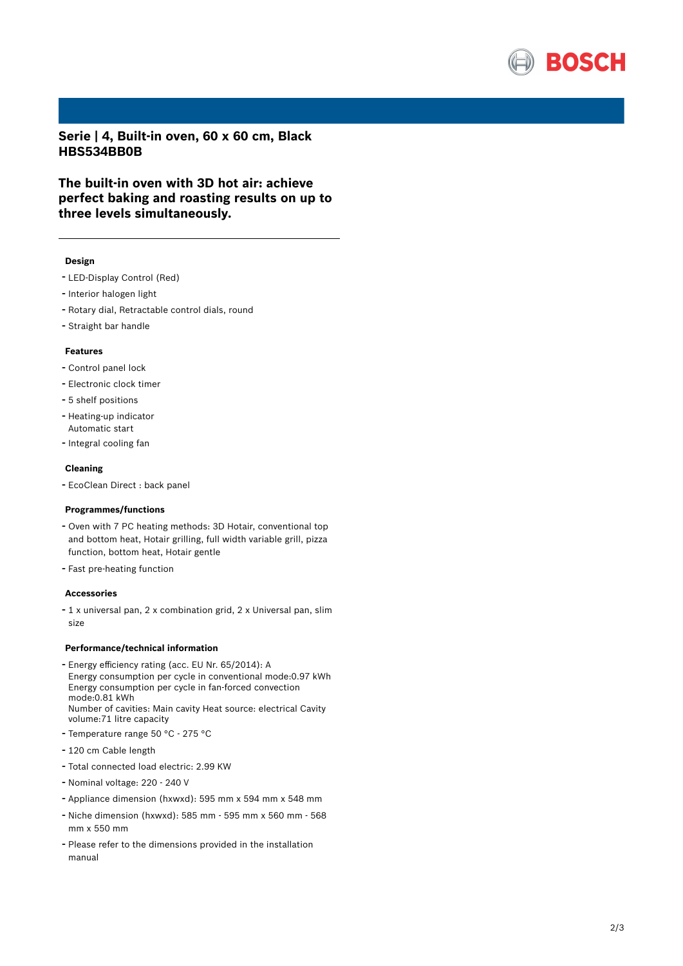

**Serie | 4, Built-in oven, 60 x 60 cm, Black HBS534BB0B**

**The built-in oven with 3D hot air: achieve perfect baking and roasting results on up to three levels simultaneously.**

#### **Design**

- LED-Display Control (Red)
- Interior halogen light
- Rotary dial, Retractable control dials, round
- Straight bar handle

# **Features**

- Control panel lock
- Electronic clock timer
- 5 shelf positions
- Heating-up indicator Automatic start
- Integral cooling fan

#### **Cleaning**

- EcoClean Direct : back panel

### **Programmes/functions**

- Oven with <sup>7</sup> PC heating methods: 3D Hotair, conventional top and bottom heat, Hotair grilling, full width variable grill, pizza function, bottom heat, Hotair gentle
- Fast pre-heating function

#### **Accessories**

- <sup>1</sup> <sup>x</sup> universal pan, <sup>2</sup> <sup>x</sup> combination grid, <sup>2</sup> <sup>x</sup> Universal pan, slim size

### **Performance/technical information**

- Energy efficiency rating (acc. EU Nr. 65/2014): <sup>A</sup> Energy consumption per cycle in conventional mode:0.97 kWh Energy consumption per cycle in fan-forced convection mode:0.81 kWh Number of cavities: Main cavity Heat source: electrical Cavity volume:71 litre capacity
- Temperature range <sup>50</sup> °C <sup>275</sup> °C
- <sup>120</sup> cm Cable length
- Total connected load electric: 2.99 KW
- Nominal voltage: <sup>220</sup> <sup>240</sup> <sup>V</sup>
- Appliance dimension (hxwxd): 595 mm x 594 mm x 548 mm
- Niche dimension (hxwxd): <sup>585</sup> mm <sup>595</sup> mm <sup>x</sup> <sup>560</sup> mm <sup>568</sup> mm x 550 mm
- Please refer to the dimensions provided in the installation manual